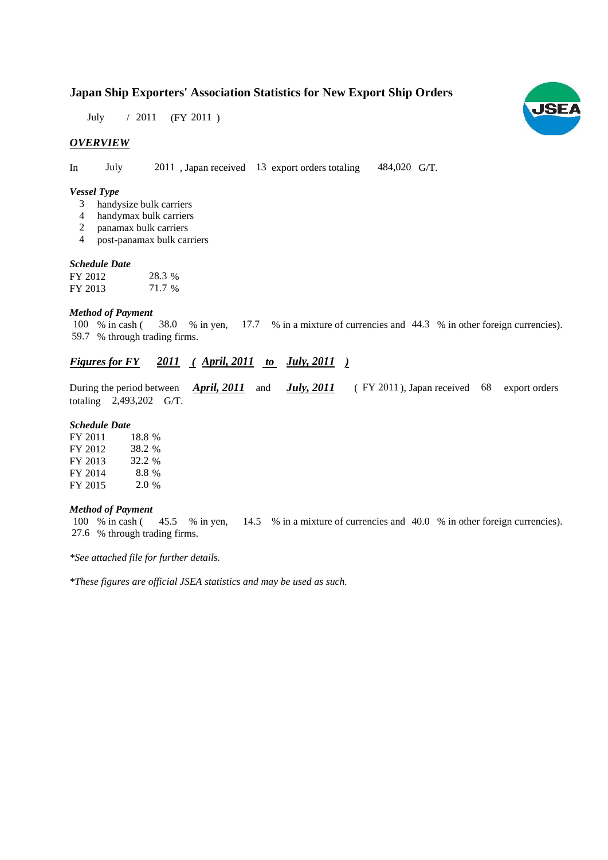# **Japan Ship Exporters' Association Statistics for New Export Ship Orders**

July / 2011 (FY 2011)

# *OVERVIEW*

In July 2011, Japan received 13 export orders totaling 484,020 G/T. 484,020 G/T.

#### *Vessel Type*

- handysize bulk carriers 3
- handymax bulk carriers 4
- panamax bulk carriers 2
- post-panamax bulk carriers 4

### *Schedule Date Schedule*

| FY 2012 | 28.3 % |
|---------|--------|
| FY 2013 | 71.7 % |

### *Method of Payment*

% in cash ( $\frac{38.0}{8}$  in yen,  $\frac{17.7}{8}$  in a mixture of currencies and 44.3 % in other foreign currencies). 59.7 % through trading firms.  $100\%$  in cash (

#### *Figures for FY*  $\frac{2011}{ }$  (*April, 2011 to July, 2011 ) Figures for*

During the period between *April, 2011* and *July, 2011* (FY 2011), Japan received 68 export orders totaling  $2,493,202$  G/T.

# *Schedule Date*

| FY 2011 | 18.8 %  |
|---------|---------|
| FY 2012 | 38.2 %  |
| FY 2013 | 32.2 %  |
| FY 2014 | 8.8%    |
| FY 2015 | $2.0\%$ |

#### *Method of Payment*

% in cash ( $\frac{45.5}{8}$  % in yen,  $\frac{14.5}{8}$  % in a mixture of currencies and 40.0 % in other foreign currencies). % through trading firms. 27.6 100 % in cash (45.5 % in yen,

*\*See attached file for further details See attached file for further details.*

*\*These figures are official JSEA statistics and may be used as such.*

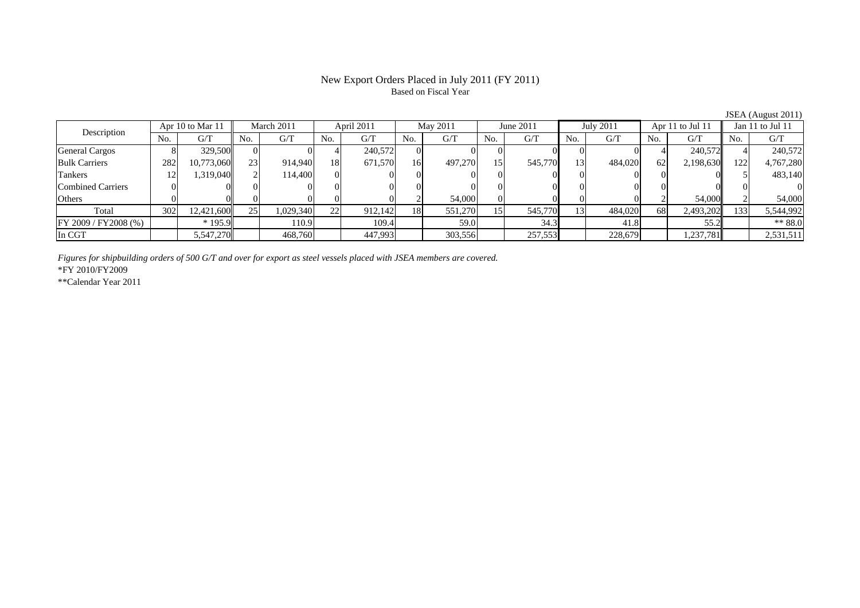## New Export Orders Placed in July 2011 (FY 2011) Based on Fiscal Year

JSEA (August 2011)<br>Jan 11 to Jul 11 No. G/T No. G/T No. G/T No. G/T No. G/T No. G/T No. G/T No. G/T $G/T$ General Cargos | 8| 329,500|| 0| 0| 4| 240,572|| 0| 0| 0| 0| 0| 0| 0| 0| 4| 240,572|| 4| 240,572 Bulk Carriers 282 10,773,060 23 914,940 18 671,570 16 497,270 15 545,770 13 484,020 62 2,198,630 122 4,767,280 Tankers 12 1,319,040 2 114,400 0 0 0 0 0 0 0 0 0 0 5 483,140 Combined Carriers 0 0 0 0 0 0 0 0 0 0 0 0 0 0 0 0Others | 0 | 0 | 0 | 0 | 2 | 54,000 | 0 | 0 | 0 | 2 | 54,000 | 2 | 54,000 Total 302 12,421,600 25 1,029,340 22 912,142 18 551,270 15 545,770 13 484,020 68 2,493,202 133 5,544,992 FY 2009 / FY 2008 (%) \* 195.9 110.9 109.4 59.0 34.3 41.8 55.2 \* 55.2 \* \$8.0 In CGT 5,547,270 468,760 447,993 303,556 227,553 228,679 1,237,781 2,531,511 April 2011 May 2011 Description Apr 10 to Mar 11 March 2011 June 2011 July 2011 Apr 11 to Jul 11 Jan 11 to Jul 11

*Figures for shipbuilding orders of 500 G/T and over for export as steel vessels placed with JSEA members are covered.*

\*FY 2010/FY2009

\*\*Calendar Year 2011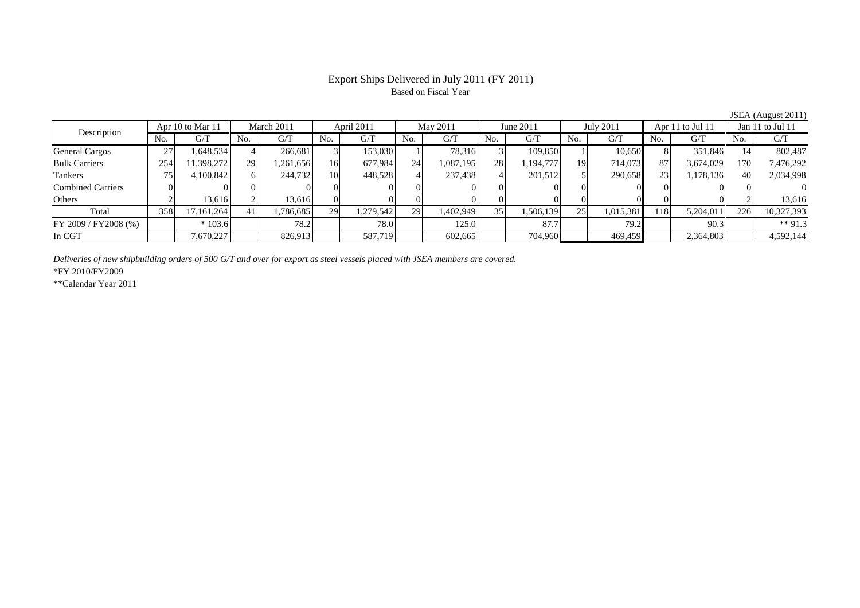# Export Ships Delivered in July 2011 (FY 2011) Based on Fiscal Year

|                          |     |                  |     |            |     |            |     |           |     |           |     |           |     |                  |     | $JU111$ ( <i>I</i> $U46$ and $LU11$ |
|--------------------------|-----|------------------|-----|------------|-----|------------|-----|-----------|-----|-----------|-----|-----------|-----|------------------|-----|-------------------------------------|
|                          |     | Apr 10 to Mar 11 |     | March 2011 |     | April 2011 |     | May 2011  |     | June 2011 |     | July 2011 |     | Apr 11 to Jul 11 |     | Jan 11 to Jul 11                    |
| Description              | No. | G/T              | No. | G/T        | No. | G/T        | No. | G/T       | No. | G/T       | No. | G/T       | No. | G/T              | No. | G/T                                 |
| <b>General Cargos</b>    | 27  | 1,648,534        |     | 266,681    |     | 153,030    |     | 78,316    |     | 109,850   |     | 10,650    |     | 351,846          |     | 802,487                             |
| <b>Bulk Carriers</b>     | 254 | 1,398,272        | 29  | 1,261,656  | 16  | 677.984    | 24  | 1,087,195 | 28  | 1,194,777 | 19  | 714,073   | 87  | 3,674,029        | 170 | 7,476,292                           |
| Tankers                  |     | 4,100,842        |     | 244,732    | 10  | 448,528    |     | 237,438   |     | 201,512   |     | 290,658   | 23  | 1,178,136        | 40  | 2,034,998                           |
| <b>Combined Carriers</b> |     |                  |     |            |     |            |     |           |     |           |     |           |     |                  |     |                                     |
| Others                   |     | 13.616           |     | 13.616     |     |            |     |           |     |           |     |           |     |                  |     | 13,616                              |
| Total                    | 358 | 17,161,264       |     | 1,786,685  | 29  | 1,279,542  | 29  | 1,402,949 | 35  | 1,506,139 | 25  | 1,015,381 | 118 | 5,204,011        | 226 | 10,327,393                          |
| FY 2009 / FY 2008 (%)    |     | $*103.6$         |     | 78.2       |     | 78.0       |     | 125.0     |     | 87.7      |     | 79.2      |     | 90.3             |     | ** 91.3                             |
| In CGT                   |     | 7,670,227        |     | 826,913    |     | 587,719    |     | 602,665   |     | 704,960   |     | 469,459   |     | 2,364,803        |     | 4,592,144                           |

*Deliveries of new shipbuilding orders of 500 G/T and over for export as steel vessels placed with JSEA members are covered.*

\*FY 2010/FY2009

\*\*Calendar Year 2011

JSEA (August 2011)